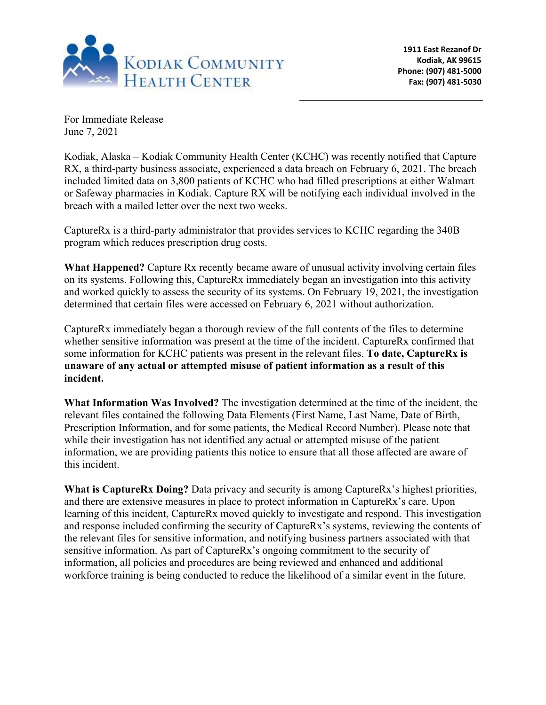

For Immediate Release June 7, 2021

Kodiak, Alaska – Kodiak Community Health Center (KCHC) was recently notified that Capture RX, a third-party business associate, experienced a data breach on February 6, 2021. The breach included limited data on 3,800 patients of KCHC who had filled prescriptions at either Walmart or Safeway pharmacies in Kodiak. Capture RX will be notifying each individual involved in the breach with a mailed letter over the next two weeks.

CaptureRx is a third-party administrator that provides services to KCHC regarding the 340B program which reduces prescription drug costs.

**What Happened?** Capture Rx recently became aware of unusual activity involving certain files on its systems. Following this, CaptureRx immediately began an investigation into this activity and worked quickly to assess the security of its systems. On February 19, 2021, the investigation determined that certain files were accessed on February 6, 2021 without authorization.

CaptureRx immediately began a thorough review of the full contents of the files to determine whether sensitive information was present at the time of the incident. CaptureRx confirmed that some information for KCHC patients was present in the relevant files. **To date, CaptureRx is unaware of any actual or attempted misuse of patient information as a result of this incident.**

**What Information Was Involved?** The investigation determined at the time of the incident, the relevant files contained the following Data Elements (First Name, Last Name, Date of Birth, Prescription Information, and for some patients, the Medical Record Number). Please note that while their investigation has not identified any actual or attempted misuse of the patient information, we are providing patients this notice to ensure that all those affected are aware of this incident.

**What is CaptureRx Doing?** Data privacy and security is among CaptureRx's highest priorities, and there are extensive measures in place to protect information in CaptureRx's care. Upon learning of this incident, CaptureRx moved quickly to investigate and respond. This investigation and response included confirming the security of CaptureRx's systems, reviewing the contents of the relevant files for sensitive information, and notifying business partners associated with that sensitive information. As part of CaptureRx's ongoing commitment to the security of information, all policies and procedures are being reviewed and enhanced and additional workforce training is being conducted to reduce the likelihood of a similar event in the future.